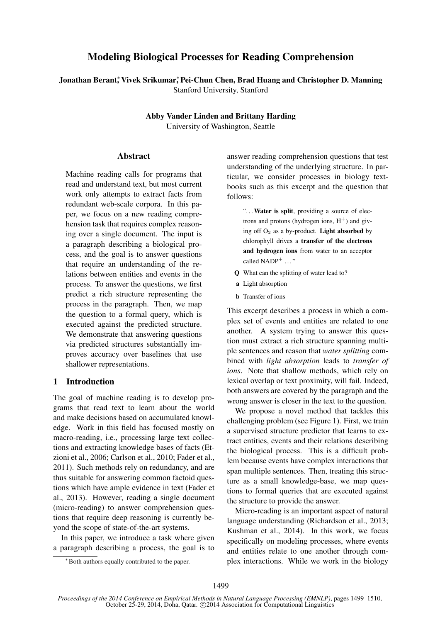# Modeling Biological Processes for Reading Comprehension

Jonathan Berant,\* Vivek Srikumar,\* Pei-Chun Chen, Brad Huang and Christopher D. Manning Stanford University, Stanford

> Abby Vander Linden and Brittany Harding University of Washington, Seattle

#### **Abstract**

Machine reading calls for programs that read and understand text, but most current work only attempts to extract facts from redundant web-scale corpora. In this paper, we focus on a new reading comprehension task that requires complex reasoning over a single document. The input is a paragraph describing a biological process, and the goal is to answer questions that require an understanding of the relations between entities and events in the process. To answer the questions, we first predict a rich structure representing the process in the paragraph. Then, we map the question to a formal query, which is executed against the predicted structure. We demonstrate that answering questions via predicted structures substantially improves accuracy over baselines that use shallower representations.

#### 1 Introduction

The goal of machine reading is to develop programs that read text to learn about the world and make decisions based on accumulated knowledge. Work in this field has focused mostly on macro-reading, i.e., processing large text collections and extracting knowledge bases of facts (Etzioni et al., 2006; Carlson et al., 2010; Fader et al., 2011). Such methods rely on redundancy, and are thus suitable for answering common factoid questions which have ample evidence in text (Fader et al., 2013). However, reading a single document (micro-reading) to answer comprehension questions that require deep reasoning is currently beyond the scope of state-of-the-art systems.

In this paper, we introduce a task where given a paragraph describing a process, the goal is to answer reading comprehension questions that test understanding of the underlying structure. In particular, we consider processes in biology textbooks such as this excerpt and the question that follows:

"... Water is split, providing a source of electrons and protons (hydrogen ions,  $H^+$ ) and giving off  $O_2$  as a by-product. Light absorbed by chlorophyll drives a transfer of the electrons and hydrogen ions from water to an acceptor called  $NADP^+$  ..."

- Q What can the splitting of water lead to?
- a Light absorption
- **b** Transfer of ions

This excerpt describes a process in which a complex set of events and entities are related to one another. A system trying to answer this question must extract a rich structure spanning multiple sentences and reason that *water splitting* combined with *light absorption* leads to *transfer of ions*. Note that shallow methods, which rely on lexical overlap or text proximity, will fail. Indeed, both answers are covered by the paragraph and the wrong answer is closer in the text to the question.

We propose a novel method that tackles this challenging problem (see Figure 1). First, we train a supervised structure predictor that learns to extract entities, events and their relations describing the biological process. This is a difficult problem because events have complex interactions that span multiple sentences. Then, treating this structure as a small knowledge-base, we map questions to formal queries that are executed against the structure to provide the answer.

Micro-reading is an important aspect of natural language understanding (Richardson et al., 2013; Kushman et al., 2014). In this work, we focus specifically on modeling processes, where events and entities relate to one another through complex interactions. While we work in the biology

<sup>∗</sup>Both authors equally contributed to the paper.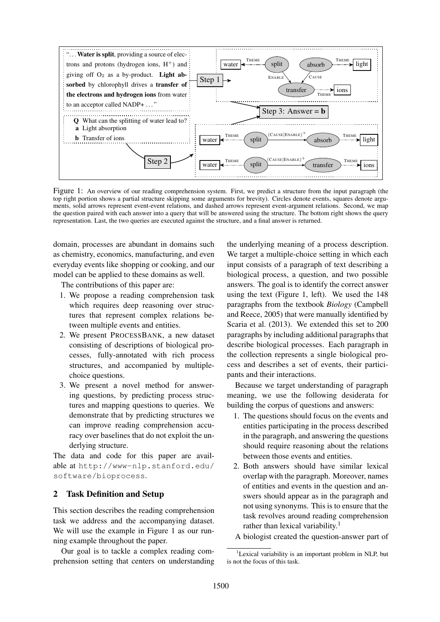

Figure 1: An overview of our reading comprehension system. First, we predict a structure from the input paragraph (the top right portion shows a partial structure skipping some arguments for brevity). Circles denote events, squares denote arguments, solid arrows represent event-event relations, and dashed arrows represent event-argument relations. Second, we map the question paired with each answer into a query that will be answered using the structure. The bottom right shows the query representation. Last, the two queries are executed against the structure, and a final answer is returned.

domain, processes are abundant in domains such as chemistry, economics, manufacturing, and even everyday events like shopping or cooking, and our model can be applied to these domains as well.

The contributions of this paper are:

- 1. We propose a reading comprehension task which requires deep reasoning over structures that represent complex relations between multiple events and entities.
- 2. We present PROCESSBANK, a new dataset consisting of descriptions of biological processes, fully-annotated with rich process structures, and accompanied by multiplechoice questions.
- 3. We present a novel method for answering questions, by predicting process structures and mapping questions to queries. We demonstrate that by predicting structures we can improve reading comprehension accuracy over baselines that do not exploit the underlying structure.

The data and code for this paper are available at http://www-nlp.stanford.edu/ software/bioprocess.

### 2 Task Definition and Setup

This section describes the reading comprehension task we address and the accompanying dataset. We will use the example in Figure 1 as our running example throughout the paper.

Our goal is to tackle a complex reading comprehension setting that centers on understanding

the underlying meaning of a process description. We target a multiple-choice setting in which each input consists of a paragraph of text describing a biological process, a question, and two possible answers. The goal is to identify the correct answer using the text (Figure 1, left). We used the 148 paragraphs from the textbook *Biology* (Campbell and Reece, 2005) that were manually identified by Scaria et al. (2013). We extended this set to 200 paragraphs by including additional paragraphs that describe biological processes. Each paragraph in the collection represents a single biological process and describes a set of events, their participants and their interactions.

Because we target understanding of paragraph meaning, we use the following desiderata for building the corpus of questions and answers:

- 1. The questions should focus on the events and entities participating in the process described in the paragraph, and answering the questions should require reasoning about the relations between those events and entities.
- 2. Both answers should have similar lexical overlap with the paragraph. Moreover, names of entities and events in the question and answers should appear as in the paragraph and not using synonyms. This is to ensure that the task revolves around reading comprehension rather than lexical variability.<sup>1</sup>
- A biologist created the question-answer part of

<sup>&</sup>lt;sup>1</sup>Lexical variability is an important problem in NLP, but is not the focus of this task.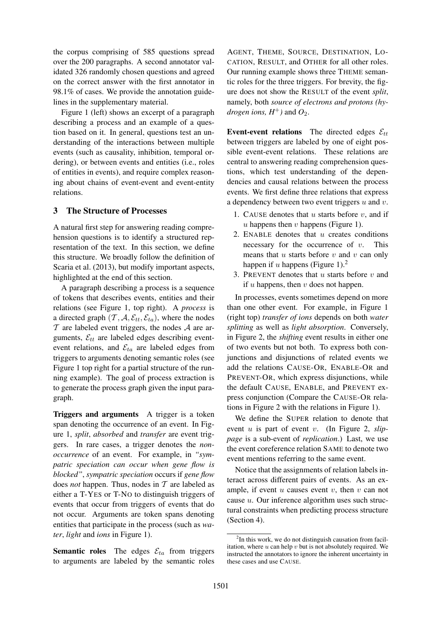the corpus comprising of 585 questions spread over the 200 paragraphs. A second annotator validated 326 randomly chosen questions and agreed on the correct answer with the first annotator in 98.1% of cases. We provide the annotation guidelines in the supplementary material.

Figure 1 (left) shows an excerpt of a paragraph describing a process and an example of a question based on it. In general, questions test an understanding of the interactions between multiple events (such as causality, inhibition, temporal ordering), or between events and entities (i.e., roles of entities in events), and require complex reasoning about chains of event-event and event-entity relations.

#### 3 The Structure of Processes

A natural first step for answering reading comprehension questions is to identify a structured representation of the text. In this section, we define this structure. We broadly follow the definition of Scaria et al. (2013), but modify important aspects, highlighted at the end of this section.

A paragraph describing a process is a sequence of tokens that describes events, entities and their relations (see Figure 1, top right). A *process* is a directed graph  $(\mathcal{T}, \mathcal{A}, \mathcal{E}_{tt}, \mathcal{E}_{ta})$ , where the nodes  $T$  are labeled event triggers, the nodes  $A$  are arguments,  $\mathcal{E}_{tt}$  are labeled edges describing eventevent relations, and  $\mathcal{E}_{ta}$  are labeled edges from triggers to arguments denoting semantic roles (see Figure 1 top right for a partial structure of the running example). The goal of process extraction is to generate the process graph given the input paragraph.

Triggers and arguments A trigger is a token span denoting the occurrence of an event. In Figure 1, *split*, *absorbed* and *transfer* are event triggers. In rare cases, a trigger denotes the *nonoccurrence* of an event. For example, in *"sympatric speciation can occur when gene flow is blocked"*, *sympatric speciation* occurs if *gene flow* does *not* happen. Thus, nodes in T are labeled as either a T-YES or T-NO to distinguish triggers of events that occur from triggers of events that do not occur. Arguments are token spans denoting entities that participate in the process (such as *water*, *light* and *ions* in Figure 1).

**Semantic roles** The edges  $\mathcal{E}_{ta}$  from triggers to arguments are labeled by the semantic roles

AGENT, THEME, SOURCE, DESTINATION, LO-CATION, RESULT, and OTHER for all other roles. Our running example shows three THEME semantic roles for the three triggers. For brevity, the figure does not show the RESULT of the event *split*, namely, both *source of electrons and protons (hydrogen ions,*  $H^+$ *)* and  $O_2$ .

Event-event relations The directed edges  $\mathcal{E}_{tt}$ between triggers are labeled by one of eight possible event-event relations. These relations are central to answering reading comprehension questions, which test understanding of the dependencies and causal relations between the process events. We first define three relations that express a dependency between two event triggers  $u$  and  $v$ .

- 1. CAUSE denotes that  $u$  starts before  $v$ , and if  $u$  happens then  $v$  happens (Figure 1).
- 2. ENABLE denotes that  $u$  creates conditions necessary for the occurrence of  $v$ . This means that  $u$  starts before  $v$  and  $v$  can only happen if u happens (Figure 1).<sup>2</sup>
- 3. PREVENT denotes that  $u$  starts before  $v$  and if  $u$  happens, then  $v$  does not happen.

In processes, events sometimes depend on more than one other event. For example, in Figure 1 (right top) *transfer of ions* depends on both *water splitting* as well as *light absorption*. Conversely, in Figure 2, the *shifting* event results in either one of two events but not both. To express both conjunctions and disjunctions of related events we add the relations CAUSE-OR, ENABLE-OR and PREVENT-OR, which express disjunctions, while the default CAUSE, ENABLE, and PREVENT express conjunction (Compare the CAUSE-OR relations in Figure 2 with the relations in Figure 1).

We define the SUPER relation to denote that event u is part of event v. (In Figure 2, *slippage* is a sub-event of *replication*.) Last, we use the event coreference relation SAME to denote two event mentions referring to the same event.

Notice that the assignments of relation labels interact across different pairs of events. As an example, if event  $u$  causes event  $v$ , then  $v$  can not cause  $u$ . Our inference algorithm uses such structural constraints when predicting process structure (Section 4).

<sup>&</sup>lt;sup>2</sup>In this work, we do not distinguish causation from facilitation, where  $u$  can help  $v$  but is not absolutely required. We instructed the annotators to ignore the inherent uncertainty in these cases and use CAUSE.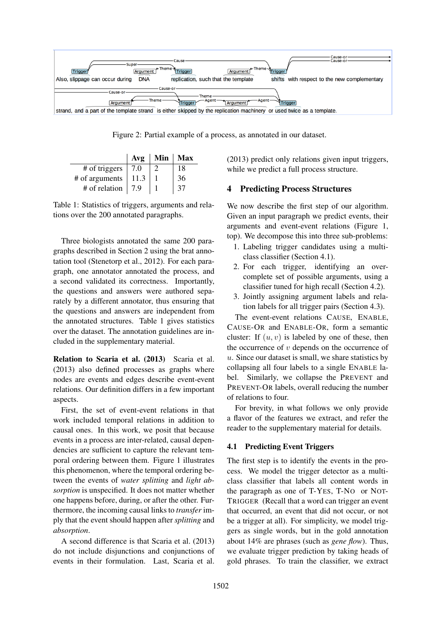

Figure 2: Partial example of a process, as annotated in our dataset.

|                | Avg  | Min |    |
|----------------|------|-----|----|
| # of triggers  | 7.0  |     |    |
| # of arguments | 11.3 |     | 36 |
| # of relation  | 79   |     |    |

Table 1: Statistics of triggers, arguments and relations over the 200 annotated paragraphs.

Three biologists annotated the same 200 paragraphs described in Section 2 using the brat annotation tool (Stenetorp et al., 2012). For each paragraph, one annotator annotated the process, and a second validated its correctness. Importantly, the questions and answers were authored separately by a different annotator, thus ensuring that the questions and answers are independent from the annotated structures. Table 1 gives statistics over the dataset. The annotation guidelines are included in the supplementary material.

Relation to Scaria et al. (2013) Scaria et al. (2013) also defined processes as graphs where nodes are events and edges describe event-event relations. Our definition differs in a few important aspects.

First, the set of event-event relations in that work included temporal relations in addition to causal ones. In this work, we posit that because events in a process are inter-related, causal dependencies are sufficient to capture the relevant temporal ordering between them. Figure 1 illustrates this phenomenon, where the temporal ordering between the events of *water splitting* and *light absorption* is unspecified. It does not matter whether one happens before, during, or after the other. Furthermore, the incoming causal links to *transfer* imply that the event should happen after *splitting* and *absorption*.

A second difference is that Scaria et al. (2013) do not include disjunctions and conjunctions of events in their formulation. Last, Scaria et al.

(2013) predict only relations given input triggers, while we predict a full process structure.

# 4 Predicting Process Structures

We now describe the first step of our algorithm. Given an input paragraph we predict events, their arguments and event-event relations (Figure 1, top). We decompose this into three sub-problems:

- 1. Labeling trigger candidates using a multiclass classifier (Section 4.1).
- 2. For each trigger, identifying an overcomplete set of possible arguments, using a classifier tuned for high recall (Section 4.2).
- 3. Jointly assigning argument labels and relation labels for all trigger pairs (Section 4.3).

The event-event relations CAUSE, ENABLE, CAUSE-OR and ENABLE-OR, form a semantic cluster: If  $(u, v)$  is labeled by one of these, then the occurrence of  $v$  depends on the occurrence of  $u$ . Since our dataset is small, we share statistics by collapsing all four labels to a single ENABLE label. Similarly, we collapse the PREVENT and PREVENT-OR labels, overall reducing the number of relations to four.

For brevity, in what follows we only provide a flavor of the features we extract, and refer the reader to the supplementary material for details.

### 4.1 Predicting Event Triggers

The first step is to identify the events in the process. We model the trigger detector as a multiclass classifier that labels all content words in the paragraph as one of T-YES, T-NO or NOT-TRIGGER (Recall that a word can trigger an event that occurred, an event that did not occur, or not be a trigger at all). For simplicity, we model triggers as single words, but in the gold annotation about 14% are phrases (such as *gene flow*). Thus, we evaluate trigger prediction by taking heads of gold phrases. To train the classifier, we extract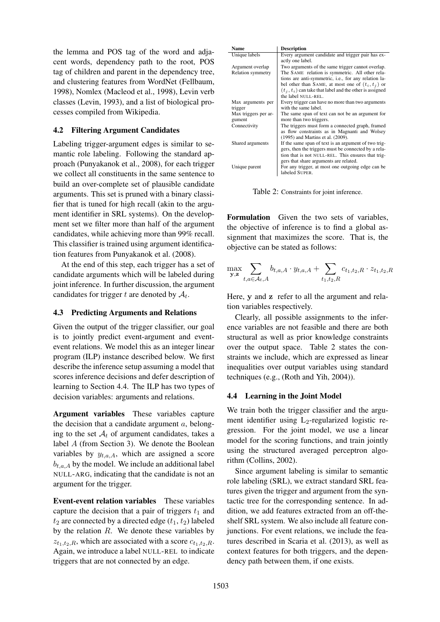the lemma and POS tag of the word and adjacent words, dependency path to the root, POS tag of children and parent in the dependency tree, and clustering features from WordNet (Fellbaum, 1998), Nomlex (Macleod et al., 1998), Levin verb classes (Levin, 1993), and a list of biological processes compiled from Wikipedia.

### 4.2 Filtering Argument Candidates

Labeling trigger-argument edges is similar to semantic role labeling. Following the standard approach (Punyakanok et al., 2008), for each trigger we collect all constituents in the same sentence to build an over-complete set of plausible candidate arguments. This set is pruned with a binary classifier that is tuned for high recall (akin to the argument identifier in SRL systems). On the development set we filter more than half of the argument candidates, while achieving more than 99% recall. This classifier is trained using argument identification features from Punyakanok et al. (2008).

At the end of this step, each trigger has a set of candidate arguments which will be labeled during joint inference. In further discussion, the argument candidates for trigger t are denoted by  $A_t$ .

### 4.3 Predicting Arguments and Relations

Given the output of the trigger classifier, our goal is to jointly predict event-argument and eventevent relations. We model this as an integer linear program (ILP) instance described below. We first describe the inference setup assuming a model that scores inference decisions and defer description of learning to Section 4.4. The ILP has two types of decision variables: arguments and relations.

Argument variables These variables capture the decision that a candidate argument  $a$ , belonging to the set  $A_t$  of argument candidates, takes a label A (from Section 3). We denote the Boolean variables by  $y_{t,a,A}$ , which are assigned a score  $b_{t,a,A}$  by the model. We include an additional label NULL-ARG, indicating that the candidate is not an argument for the trigger.

Event-event relation variables These variables capture the decision that a pair of triggers  $t_1$  and  $t_2$  are connected by a directed edge  $(t_1, t_2)$  labeled by the relation  $R$ . We denote these variables by  $z_{t_1,t_2,R}$ , which are associated with a score  $c_{t_1,t_2,R}$ . Again, we introduce a label NULL-REL to indicate triggers that are not connected by an edge.

| Name                     | <b>Description</b>                                         |
|--------------------------|------------------------------------------------------------|
| Unique labels            | Every argument candidate and trigger pair has ex-          |
|                          | actly one label.                                           |
| Argument overlap         | Two arguments of the same trigger cannot overlap.          |
| <b>Relation symmetry</b> | The SAME relation is symmetric. All other rela-            |
|                          | tions are anti-symmetric, i.e., for any relation la-       |
|                          | bel other than SAME, at most one of $(t_i, t_i)$ or        |
|                          | $(t_i, t_i)$ can take that label and the other is assigned |
|                          | the label NULL-REL.                                        |
| Max arguments per        | Every trigger can have no more than two arguments          |
| trigger                  | with the same label.                                       |
| Max triggers per ar-     | The same span of text can not be an argument for           |
| gument                   | more than two triggers.                                    |
| Connectivity             | The triggers must form a connected graph, framed           |
|                          | as flow constraints as in Magnanti and Wolsey              |
|                          | (1995) and Martins et al. (2009).                          |
| Shared arguments         | If the same span of text is an argument of two trig-       |
|                          | gers, then the triggers must be connected by a rela-       |
|                          | tion that is not NULL-REL. This ensures that trig-         |
|                          | gers that share arguments are related.                     |
| Unique parent            | For any trigger, at most one outgoing edge can be          |
|                          | labeled SUPER.                                             |

Table 2: Constraints for joint inference.

Formulation Given the two sets of variables, the objective of inference is to find a global assignment that maximizes the score. That is, the objective can be stated as follows:

$$
\max_{\mathbf{y},\mathbf{z}} \sum_{t,a \in \mathcal{A}_t, A} b_{t,a,A} \cdot y_{t,a,A} + \sum_{t_1,t_2,R} c_{t_1,t_2,R} \cdot z_{t_1,t_2,R}
$$

Here, y and z refer to all the argument and relation variables respectively.

Clearly, all possible assignments to the inference variables are not feasible and there are both structural as well as prior knowledge constraints over the output space. Table 2 states the constraints we include, which are expressed as linear inequalities over output variables using standard techniques (e.g., (Roth and Yih, 2004)).

# 4.4 Learning in the Joint Model

We train both the trigger classifier and the argument identifier using  $L_2$ -regularized logistic regression. For the joint model, we use a linear model for the scoring functions, and train jointly using the structured averaged perceptron algorithm (Collins, 2002).

Since argument labeling is similar to semantic role labeling (SRL), we extract standard SRL features given the trigger and argument from the syntactic tree for the corresponding sentence. In addition, we add features extracted from an off-theshelf SRL system. We also include all feature conjunctions. For event relations, we include the features described in Scaria et al. (2013), as well as context features for both triggers, and the dependency path between them, if one exists.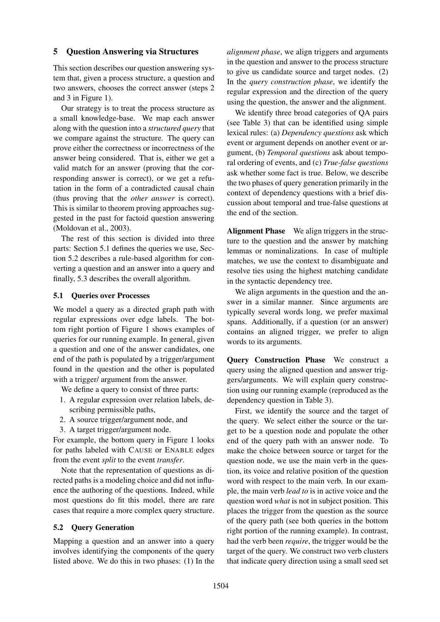### 5 Question Answering via Structures

This section describes our question answering system that, given a process structure, a question and two answers, chooses the correct answer (steps 2 and 3 in Figure 1).

Our strategy is to treat the process structure as a small knowledge-base. We map each answer along with the question into a *structured query* that we compare against the structure. The query can prove either the correctness or incorrectness of the answer being considered. That is, either we get a valid match for an answer (proving that the corresponding answer is correct), or we get a refutation in the form of a contradicted causal chain (thus proving that the *other answer* is correct). This is similar to theorem proving approaches suggested in the past for factoid question answering (Moldovan et al., 2003).

The rest of this section is divided into three parts: Section 5.1 defines the queries we use, Section 5.2 describes a rule-based algorithm for converting a question and an answer into a query and finally, 5.3 describes the overall algorithm.

### 5.1 Queries over Processes

We model a query as a directed graph path with regular expressions over edge labels. The bottom right portion of Figure 1 shows examples of queries for our running example. In general, given a question and one of the answer candidates, one end of the path is populated by a trigger/argument found in the question and the other is populated with a trigger/ argument from the answer.

We define a query to consist of three parts:

- 1. A regular expression over relation labels, describing permissible paths,
- 2. A source trigger/argument node, and
- 3. A target trigger/argument node.

For example, the bottom query in Figure 1 looks for paths labeled with CAUSE or ENABLE edges from the event *split* to the event *transfer*.

Note that the representation of questions as directed paths is a modeling choice and did not influence the authoring of the questions. Indeed, while most questions do fit this model, there are rare cases that require a more complex query structure.

### 5.2 Query Generation

Mapping a question and an answer into a query involves identifying the components of the query listed above. We do this in two phases: (1) In the *alignment phase*, we align triggers and arguments in the question and answer to the process structure to give us candidate source and target nodes. (2) In the *query construction phase*, we identify the regular expression and the direction of the query using the question, the answer and the alignment.

We identify three broad categories of QA pairs (see Table 3) that can be identified using simple lexical rules: (a) *Dependency questions* ask which event or argument depends on another event or argument, (b) *Temporal questions* ask about temporal ordering of events, and (c) *True-false questions* ask whether some fact is true. Below, we describe the two phases of query generation primarily in the context of dependency questions with a brief discussion about temporal and true-false questions at the end of the section.

Alignment Phase We align triggers in the structure to the question and the answer by matching lemmas or nominalizations. In case of multiple matches, we use the context to disambiguate and resolve ties using the highest matching candidate in the syntactic dependency tree.

We align arguments in the question and the answer in a similar manner. Since arguments are typically several words long, we prefer maximal spans. Additionally, if a question (or an answer) contains an aligned trigger, we prefer to align words to its arguments.

Query Construction Phase We construct a query using the aligned question and answer triggers/arguments. We will explain query construction using our running example (reproduced as the dependency question in Table 3).

First, we identify the source and the target of the query. We select either the source or the target to be a question node and populate the other end of the query path with an answer node. To make the choice between source or target for the question node, we use the main verb in the question, its voice and relative position of the question word with respect to the main verb. In our example, the main verb *lead to* is in active voice and the question word *what* is not in subject position. This places the trigger from the question as the source of the query path (see both queries in the bottom right portion of the running example). In contrast, had the verb been *require*, the trigger would be the target of the query. We construct two verb clusters that indicate query direction using a small seed set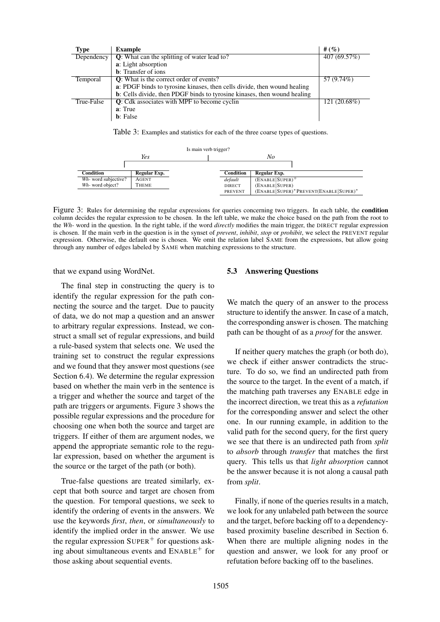| <b>Type</b> | <b>Example</b>                                                           | # $(%)$      |
|-------------|--------------------------------------------------------------------------|--------------|
| Dependency  | <b>Q</b> : What can the splitting of water lead to?                      | 407 (69.57%) |
|             | a: Light absorption                                                      |              |
|             | <b>b</b> : Transfer of ions                                              |              |
| Temporal    | Q: What is the correct order of events?                                  | 57 (9.74%)   |
|             | a: PDGF binds to tyrosine kinases, then cells divide, then wound healing |              |
|             | b: Cells divide, then PDGF binds to tyrosine kinases, then wound healing |              |
| True-False  | <b>Q</b> : Cdk associates with MPF to become cyclin                      | 121 (20.68%) |
|             | a: True                                                                  |              |
|             | <b>b</b> : False                                                         |              |

Table 3: Examples and statistics for each of the three coarse types of questions.

| Is main verb trigger? |              |  |                |                                        |
|-----------------------|--------------|--|----------------|----------------------------------------|
|                       | Yes          |  | No             |                                        |
|                       |              |  |                |                                        |
| Condition             | Regular Exp. |  | Condition      | Regular Exp.                           |
| Wh- word subjective?  | <b>AGENT</b> |  | default        | $(ENABLE SUPER)^+$                     |
| Wh-word object?       | THEME        |  | <b>DIRECT</b>  | (ENABLE SUPER)                         |
|                       |              |  | <b>PREVENT</b> | (ENABLE SUPER)* PREVENT(ENABLE SUPER)* |

Figure 3: Rules for determining the regular expressions for queries concerning two triggers. In each table, the condition column decides the regular expression to be chosen. In the left table, we make the choice based on the path from the root to the *Wh-* word in the question. In the right table, if the word *directly* modifies the main trigger, the DIRECT regular expression is chosen. If the main verb in the question is in the synset of *prevent*, *inhibit*, *stop* or *prohibit*, we select the PREVENT regular expression. Otherwise, the default one is chosen. We omit the relation label SAME from the expressions, but allow going through any number of edges labeled by SAME when matching expressions to the structure.

that we expand using WordNet.

The final step in constructing the query is to identify the regular expression for the path connecting the source and the target. Due to paucity of data, we do not map a question and an answer to arbitrary regular expressions. Instead, we construct a small set of regular expressions, and build a rule-based system that selects one. We used the training set to construct the regular expressions and we found that they answer most questions (see Section 6.4). We determine the regular expression based on whether the main verb in the sentence is a trigger and whether the source and target of the path are triggers or arguments. Figure 3 shows the possible regular expressions and the procedure for choosing one when both the source and target are triggers. If either of them are argument nodes, we append the appropriate semantic role to the regular expression, based on whether the argument is the source or the target of the path (or both).

True-false questions are treated similarly, except that both source and target are chosen from the question. For temporal questions, we seek to identify the ordering of events in the answers. We use the keywords *first*, *then*, or *simultaneously* to identify the implied order in the answer. We use the regular expression  $\text{SUPER}^+$  for questions asking about simultaneous events and  $ENABLE<sup>+</sup>$  for those asking about sequential events.

#### 5.3 Answering Questions

We match the query of an answer to the process structure to identify the answer. In case of a match, the corresponding answer is chosen. The matching path can be thought of as a *proof* for the answer.

If neither query matches the graph (or both do), we check if either answer contradicts the structure. To do so, we find an undirected path from the source to the target. In the event of a match, if the matching path traverses any ENABLE edge in the incorrect direction, we treat this as a *refutation* for the corresponding answer and select the other one. In our running example, in addition to the valid path for the second query, for the first query we see that there is an undirected path from *split* to *absorb* through *transfer* that matches the first query. This tells us that *light absorption* cannot be the answer because it is not along a causal path from *split*.

Finally, if none of the queries results in a match, we look for any unlabeled path between the source and the target, before backing off to a dependencybased proximity baseline described in Section 6. When there are multiple aligning nodes in the question and answer, we look for any proof or refutation before backing off to the baselines.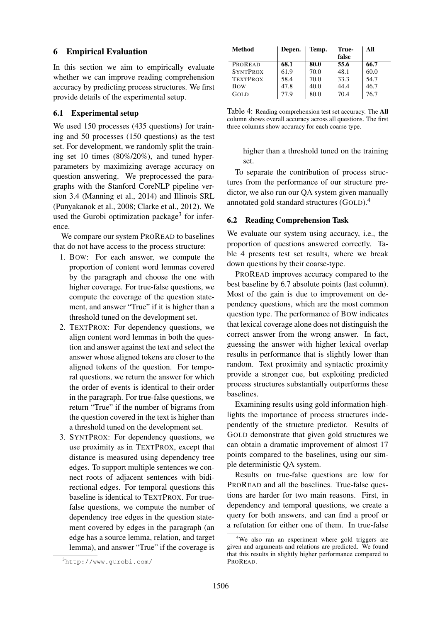### 6 Empirical Evaluation

In this section we aim to empirically evaluate whether we can improve reading comprehension accuracy by predicting process structures. We first provide details of the experimental setup.

#### 6.1 Experimental setup

We used 150 processes (435 questions) for training and 50 processes (150 questions) as the test set. For development, we randomly split the training set 10 times (80%/20%), and tuned hyperparameters by maximizing average accuracy on question answering. We preprocessed the paragraphs with the Stanford CoreNLP pipeline version 3.4 (Manning et al., 2014) and Illinois SRL (Punyakanok et al., 2008; Clarke et al., 2012). We used the Gurobi optimization package<sup>3</sup> for inference.

We compare our system PROREAD to baselines that do not have access to the process structure:

- 1. BOW: For each answer, we compute the proportion of content word lemmas covered by the paragraph and choose the one with higher coverage. For true-false questions, we compute the coverage of the question statement, and answer "True" if it is higher than a threshold tuned on the development set.
- 2. TEXTPROX: For dependency questions, we align content word lemmas in both the question and answer against the text and select the answer whose aligned tokens are closer to the aligned tokens of the question. For temporal questions, we return the answer for which the order of events is identical to their order in the paragraph. For true-false questions, we return "True" if the number of bigrams from the question covered in the text is higher than a threshold tuned on the development set.
- 3. SYNTPROX: For dependency questions, we use proximity as in TEXTPROX, except that distance is measured using dependency tree edges. To support multiple sentences we connect roots of adjacent sentences with bidirectional edges. For temporal questions this baseline is identical to TEXTPROX. For truefalse questions, we compute the number of dependency tree edges in the question statement covered by edges in the paragraph (an edge has a source lemma, relation, and target lemma), and answer "True" if the coverage is

| Method          | Depen. | Temp. | True- | All  |
|-----------------|--------|-------|-------|------|
|                 |        |       | false |      |
| PROREAD         | 68.1   | 80.0  | 55.6  | 66.7 |
| <b>SYNTPROX</b> | 61.9   | 70.0  | 48.1  | 60.0 |
| <b>TEXTPROX</b> | 58.4   | 70.0  | 33.3  | 54.7 |
| <b>B</b> ow     | 47.8   | 40.0  | 44.4  | 46.7 |
| GOLD.           | 77 Q   | 80.0  | 70.4  | 76.7 |

Table 4: Reading comprehension test set accuracy. The All column shows overall accuracy across all questions. The first three columns show accuracy for each coarse type.

higher than a threshold tuned on the training set.

To separate the contribution of process structures from the performance of our structure predictor, we also run our QA system given manually annotated gold standard structures (GOLD).<sup>4</sup>

#### 6.2 Reading Comprehension Task

We evaluate our system using accuracy, i.e., the proportion of questions answered correctly. Table 4 presents test set results, where we break down questions by their coarse-type.

PROREAD improves accuracy compared to the best baseline by 6.7 absolute points (last column). Most of the gain is due to improvement on dependency questions, which are the most common question type. The performance of BOW indicates that lexical coverage alone does not distinguish the correct answer from the wrong answer. In fact, guessing the answer with higher lexical overlap results in performance that is slightly lower than random. Text proximity and syntactic proximity provide a stronger cue, but exploiting predicted process structures substantially outperforms these baselines.

Examining results using gold information highlights the importance of process structures independently of the structure predictor. Results of GOLD demonstrate that given gold structures we can obtain a dramatic improvement of almost 17 points compared to the baselines, using our simple deterministic QA system.

Results on true-false questions are low for PROREAD and all the baselines. True-false questions are harder for two main reasons. First, in dependency and temporal questions, we create a query for both answers, and can find a proof or a refutation for either one of them. In true-false

<sup>3</sup>http://www.gurobi.com/

<sup>&</sup>lt;sup>4</sup>We also ran an experiment where gold triggers are given and arguments and relations are predicted. We found that this results in slightly higher performance compared to PROREAD.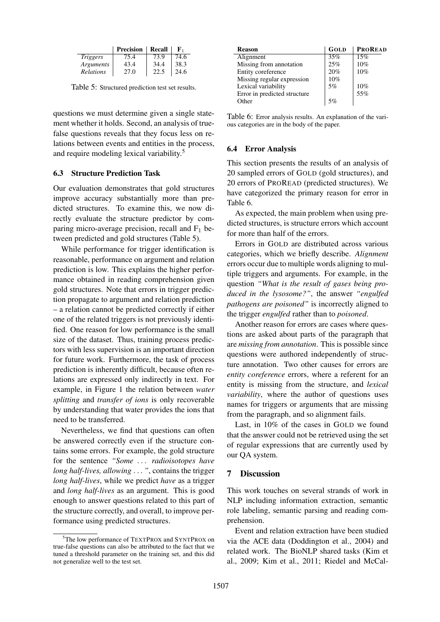|                 | <b>Precision</b> | Recall | к,   |
|-----------------|------------------|--------|------|
| <i>Triggers</i> | 75.4             | 73.9   | 74.6 |
| Arguments       | 43.4             | 34.4   | 38.3 |
| Relations       | 27.0             |        | 24.6 |

Table 5: Structured prediction test set results.

questions we must determine given a single statement whether it holds. Second, an analysis of truefalse questions reveals that they focus less on relations between events and entities in the process, and require modeling lexical variability.<sup>5</sup>

#### 6.3 Structure Prediction Task

Our evaluation demonstrates that gold structures improve accuracy substantially more than predicted structures. To examine this, we now directly evaluate the structure predictor by comparing micro-average precision, recall and  $F_1$  between predicted and gold structures (Table 5).

While performance for trigger identification is reasonable, performance on argument and relation prediction is low. This explains the higher performance obtained in reading comprehension given gold structures. Note that errors in trigger prediction propagate to argument and relation prediction – a relation cannot be predicted correctly if either one of the related triggers is not previously identified. One reason for low performance is the small size of the dataset. Thus, training process predictors with less supervision is an important direction for future work. Furthermore, the task of process prediction is inherently difficult, because often relations are expressed only indirectly in text. For example, in Figure 1 the relation between *water splitting* and *transfer of ions* is only recoverable by understanding that water provides the ions that need to be transferred.

Nevertheless, we find that questions can often be answered correctly even if the structure contains some errors. For example, the gold structure for the sentence *"Some* . . . *radioisotopes have long half-lives, allowing* . . . *"*, contains the trigger *long half-lives*, while we predict *have* as a trigger and *long half-lives* as an argument. This is good enough to answer questions related to this part of the structure correctly, and overall, to improve performance using predicted structures.

| <b>Reason</b>                | GOLD | <b>PROREAD</b> |
|------------------------------|------|----------------|
| Alignment                    | 35%  | 15%            |
| Missing from annotation      | 25%  | 10%            |
| Entity coreference           | 20%  | 10%            |
| Missing regular expression   | 10%  |                |
| Lexical variability          | 5%   | 10%            |
| Error in predicted structure |      | 55%            |
| Other                        | 5%   |                |
|                              |      |                |

Table 6: Error analysis results. An explanation of the various categories are in the body of the paper.

#### 6.4 Error Analysis

This section presents the results of an analysis of 20 sampled errors of GOLD (gold structures), and 20 errors of PROREAD (predicted structures). We have categorized the primary reason for error in Table 6.

As expected, the main problem when using predicted structures, is structure errors which account for more than half of the errors.

Errors in GOLD are distributed across various categories, which we briefly describe. *Alignment* errors occur due to multiple words aligning to multiple triggers and arguments. For example, in the question *"What is the result of gases being produced in the lysosome?"*, the answer *"engulfed pathogens are poisoned"* is incorrectly aligned to the trigger *engulfed* rather than to *poisoned*.

Another reason for errors are cases where questions are asked about parts of the paragraph that are *missing from annotation*. This is possible since questions were authored independently of structure annotation. Two other causes for errors are *entity coreference* errors, where a referent for an entity is missing from the structure, and *lexical variability*, where the author of questions uses names for triggers or arguments that are missing from the paragraph, and so alignment fails.

Last, in 10% of the cases in GOLD we found that the answer could not be retrieved using the set of regular expressions that are currently used by our QA system.

#### 7 Discussion

This work touches on several strands of work in NLP including information extraction, semantic role labeling, semantic parsing and reading comprehension.

Event and relation extraction have been studied via the ACE data (Doddington et al., 2004) and related work. The BioNLP shared tasks (Kim et al., 2009; Kim et al., 2011; Riedel and McCal-

<sup>&</sup>lt;sup>5</sup>The low performance of TEXTPROX and SYNTPROX on true-false questions can also be attributed to the fact that we tuned a threshold parameter on the training set, and this did not generalize well to the test set.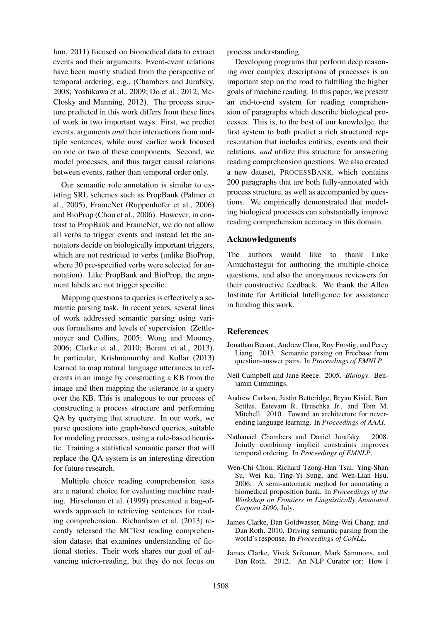lum, 2011) focused on biomedical data to extract events and their arguments. Event-event relations have been mostly studied from the perspective of temporal ordering; e.g., (Chambers and Jurafsky, 2008; Yoshikawa et al., 2009; Do et al., 2012; Mc-Closky and Manning, 2012). The process structure predicted in this work differs from these lines of work in two important ways: First, we predict events, arguments *and* their interactions from multiple sentences, while most earlier work focused on one or two of these components. Second, we model processes, and thus target causal relations between events, rather than temporal order only.

Our semantic role annotation is similar to existing SRL schemes such as PropBank (Palmer et al., 2005), FrameNet (Ruppenhofer et al., 2006) and BioProp (Chou et al., 2006). However, in contrast to PropBank and FrameNet, we do not allow all verbs to trigger events and instead let the annotators decide on biologically important triggers, which are not restricted to verbs (unlike BioProp, where 30 pre-specified verbs were selected for annotation). Like PropBank and BioProp, the argument labels are not trigger specific.

Mapping questions to queries is effectively a semantic parsing task. In recent years, several lines of work addressed semantic parsing using various formalisms and levels of supervision (Zettlemoyer and Collins, 2005; Wong and Mooney, 2006; Clarke et al., 2010; Berant et al., 2013). In particular, Krishnamurthy and Kollar (2013) learned to map natural language utterances to referents in an image by constructing a KB from the image and then mapping the utterance to a query over the KB. This is analogous to our process of constructing a process structure and performing QA by querying that structure. In our work, we parse questions into graph-based queries, suitable for modeling processes, using a rule-based heuristic. Training a statistical semantic parser that will replace the QA system is an interesting direction for future research.

Multiple choice reading comprehension tests are a natural choice for evaluating machine reading. Hirschman et al. (1999) presented a bag-ofwords approach to retrieving sentences for reading comprehension. Richardson et al. (2013) recently released the MCTest reading comprehension dataset that examines understanding of fictional stories. Their work shares our goal of advancing micro-reading, but they do not focus on process understanding.

Developing programs that perform deep reasoning over complex descriptions of processes is an important step on the road to fulfilling the higher goals of machine reading. In this paper, we present an end-to-end system for reading comprehension of paragraphs which describe biological processes. This is, to the best of our knowledge, the first system to both predict a rich structured representation that includes entities, events and their relations, *and* utilize this structure for answering reading comprehension questions. We also created a new dataset, PROCESSBANK, which contains 200 paragraphs that are both fully-annotated with process structure, as well as accompanied by questions. We empirically demonstrated that modeling biological processes can substantially improve reading comprehension accuracy in this domain.

### Acknowledgments

The authors would like to thank Luke Amuchastegui for authoring the multiple-choice questions, and also the anonymous reviewers for their constructive feedback. We thank the Allen Institute for Artificial Intelligence for assistance in funding this work.

#### References

- Jonathan Berant, Andrew Chou, Roy Frostig, and Percy Liang. 2013. Semantic parsing on Freebase from question-answer pairs. In *Proceedings of EMNLP*.
- Neil Campbell and Jane Reece. 2005. *Biology*. Benjamin Cummings.
- Andrew Carlson, Justin Betteridge, Bryan Kisiel, Burr Settles, Estevam R. Hruschka Jr., and Tom M. Mitchell. 2010. Toward an architecture for neverending language learning. In *Proceedings of AAAI*.
- Nathanael Chambers and Daniel Jurafsky. 2008. Jointly combining implicit constraints improves temporal ordering. In *Proceedings of EMNLP*.
- Wen-Chi Chou, Richard Tzong-Han Tsai, Ying-Shan Su, Wei Ku, Ting-Yi Sung, and Wen-Lian Hsu. 2006. A semi-automatic method for annotating a biomedical proposition bank. In *Proceedings of the Workshop on Frontiers in Linguistically Annotated Corpora 2006*, July.
- James Clarke, Dan Goldwasser, Ming-Wei Chang, and Dan Roth. 2010. Driving semantic parsing from the world's response. In *Proceedings of CoNLL*.
- James Clarke, Vivek Srikumar, Mark Sammons, and Dan Roth. 2012. An NLP Curator (or: How I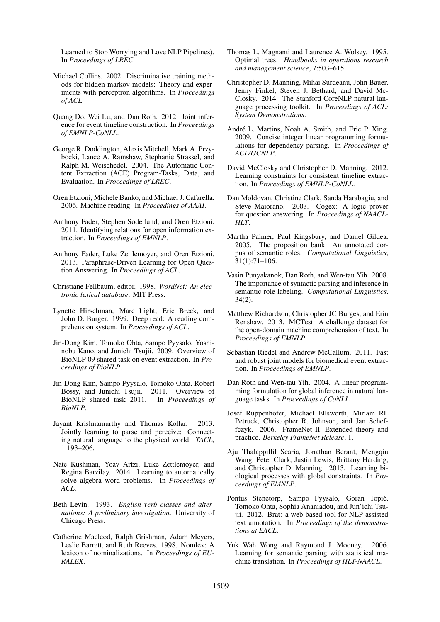Learned to Stop Worrying and Love NLP Pipelines). In *Proceedings of LREC*.

- Michael Collins. 2002. Discriminative training methods for hidden markov models: Theory and experiments with perceptron algorithms. In *Proceedings of ACL*.
- Quang Do, Wei Lu, and Dan Roth. 2012. Joint inference for event timeline construction. In *Proceedings of EMNLP-CoNLL*.
- George R. Doddington, Alexis Mitchell, Mark A. Przybocki, Lance A. Ramshaw, Stephanie Strassel, and Ralph M. Weischedel. 2004. The Automatic Content Extraction (ACE) Program-Tasks, Data, and Evaluation. In *Proceedings of LREC*.
- Oren Etzioni, Michele Banko, and Michael J. Cafarella. 2006. Machine reading. In *Proceedings of AAAI*.
- Anthony Fader, Stephen Soderland, and Oren Etzioni. 2011. Identifying relations for open information extraction. In *Proceedings of EMNLP*.
- Anthony Fader, Luke Zettlemoyer, and Oren Etzioni. 2013. Paraphrase-Driven Learning for Open Question Answering. In *Proceedings of ACL*.
- Christiane Fellbaum, editor. 1998. *WordNet: An electronic lexical database*. MIT Press.
- Lynette Hirschman, Marc Light, Eric Breck, and John D. Burger. 1999. Deep read: A reading comprehension system. In *Proceedings of ACL*.
- Jin-Dong Kim, Tomoko Ohta, Sampo Pyysalo, Yoshinobu Kano, and Junichi Tsujii. 2009. Overview of BioNLP 09 shared task on event extraction. In *Proceedings of BioNLP*.
- Jin-Dong Kim, Sampo Pyysalo, Tomoko Ohta, Robert Bossy, and Junichi Tsujii. 2011. Overview of BioNLP shared task 2011. In *Proceedings of BioNLP*.
- Jayant Krishnamurthy and Thomas Kollar. 2013. Jointly learning to parse and perceive: Connecting natural language to the physical world. *TACL*, 1:193–206.
- Nate Kushman, Yoav Artzi, Luke Zettlemoyer, and Regina Barzilay. 2014. Learning to automatically solve algebra word problems. In *Proceedings of ACL*.
- Beth Levin. 1993. *English verb classes and alternations: A preliminary investigation*. University of Chicago Press.
- Catherine Macleod, Ralph Grishman, Adam Meyers, Leslie Barrett, and Ruth Reeves. 1998. Nomlex: A lexicon of nominalizations. In *Proceedings of EU-RALEX*.
- Thomas L. Magnanti and Laurence A. Wolsey. 1995. Optimal trees. *Handbooks in operations research and management science*, 7:503–615.
- Christopher D. Manning, Mihai Surdeanu, John Bauer, Jenny Finkel, Steven J. Bethard, and David Mc-Closky. 2014. The Stanford CoreNLP natural language processing toolkit. In *Proceedings of ACL: System Demonstrations*.
- André L. Martins, Noah A. Smith, and Eric P. Xing. 2009. Concise integer linear programming formulations for dependency parsing. In *Proceedings of ACL/IJCNLP*.
- David McClosky and Christopher D. Manning. 2012. Learning constraints for consistent timeline extraction. In *Proceedings of EMNLP-CoNLL*.
- Dan Moldovan, Christine Clark, Sanda Harabagiu, and Steve Maiorano. 2003. Cogex: A logic prover for question answering. In *Proceedings of NAACL-HLT*.
- Martha Palmer, Paul Kingsbury, and Daniel Gildea. 2005. The proposition bank: An annotated corpus of semantic roles. *Computational Linguistics*, 31(1):71–106.
- Vasin Punyakanok, Dan Roth, and Wen-tau Yih. 2008. The importance of syntactic parsing and inference in semantic role labeling. *Computational Linguistics*, 34(2).
- Matthew Richardson, Christopher JC Burges, and Erin Renshaw. 2013. MCTest: A challenge dataset for the open-domain machine comprehension of text. In *Proceedings of EMNLP*.
- Sebastian Riedel and Andrew McCallum. 2011. Fast and robust joint models for biomedical event extraction. In *Proceedings of EMNLP*.
- Dan Roth and Wen-tau Yih. 2004. A linear programming formulation for global inference in natural language tasks. In *Proceedings of CoNLL*.
- Josef Ruppenhofer, Michael Ellsworth, Miriam RL Petruck, Christopher R. Johnson, and Jan Scheffczyk. 2006. FrameNet II: Extended theory and practice. *Berkeley FrameNet Release*, 1.
- Aju Thalappillil Scaria, Jonathan Berant, Mengqiu Wang, Peter Clark, Justin Lewis, Brittany Harding, and Christopher D. Manning. 2013. Learning biological processes with global constraints. In *Proceedings of EMNLP*.
- Pontus Stenetorp, Sampo Pyysalo, Goran Topić, Tomoko Ohta, Sophia Ananiadou, and Jun'ichi Tsujii. 2012. Brat: a web-based tool for NLP-assisted text annotation. In *Proceedings of the demonstrations at EACL*.
- Yuk Wah Wong and Raymond J. Mooney. 2006. Learning for semantic parsing with statistical machine translation. In *Proceedings of HLT-NAACL*.